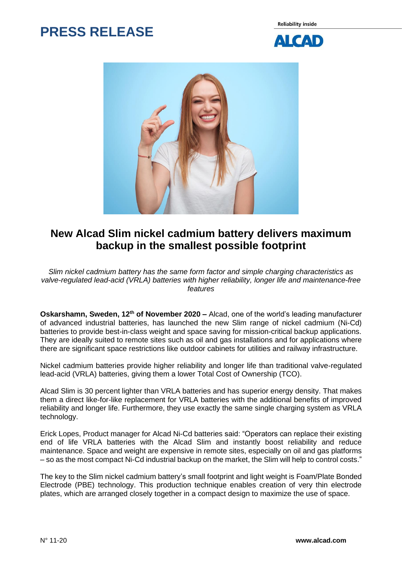## **PRESS RELEASE**

**Reliability inside** 





## **New Alcad Slim nickel cadmium battery delivers maximum backup in the smallest possible footprint**

*Slim nickel cadmium battery has the same form factor and simple charging characteristics as valve-regulated lead-acid (VRLA) batteries with higher reliability, longer life and maintenance-free features*

**Oskarshamn, Sweden, 12<sup>th</sup> of November 2020 –** Alcad, one of the world's leading manufacturer of advanced industrial batteries, has launched the new Slim range of nickel cadmium (Ni-Cd) batteries to provide best-in-class weight and space saving for mission-critical backup applications. They are ideally suited to remote sites such as oil and gas installations and for applications where there are significant space restrictions like outdoor cabinets for utilities and railway infrastructure.

Nickel cadmium batteries provide higher reliability and longer life than traditional valve-regulated lead-acid (VRLA) batteries, giving them a lower Total Cost of Ownership (TCO).

Alcad Slim is 30 percent lighter than VRLA batteries and has superior energy density. That makes them a direct like-for-like replacement for VRLA batteries with the additional benefits of improved reliability and longer life. Furthermore, they use exactly the same single charging system as VRLA technology.

Erick Lopes, Product manager for Alcad Ni-Cd batteries said: "Operators can replace their existing end of life VRLA batteries with the Alcad Slim and instantly boost reliability and reduce maintenance. Space and weight are expensive in remote sites, especially on oil and gas platforms – so as the most compact Ni-Cd industrial backup on the market, the Slim will help to control costs."

The key to the Slim nickel cadmium battery's small footprint and light weight is Foam/Plate Bonded Electrode (PBE) technology. This production technique enables creation of very thin electrode plates, which are arranged closely together in a compact design to maximize the use of space.